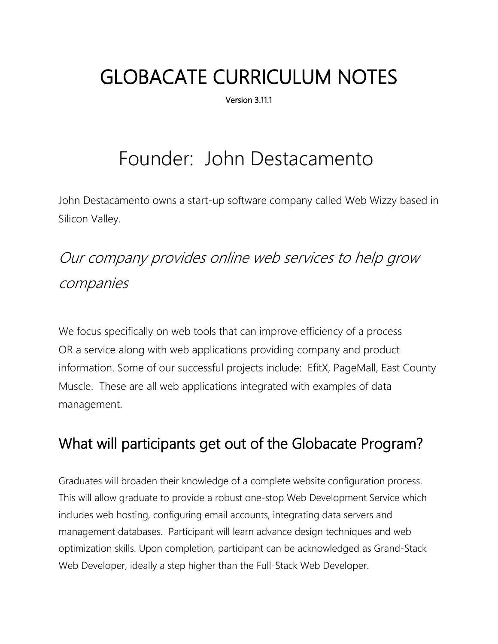# GLOBACATE CURRICULUM NOTES

Version 3.11.1

# Founder: John Destacamento

John Destacamento owns a start-up software company called Web Wizzy based in Silicon Valley.

# Our company provides online web services to help grow companies

We focus specifically on web tools that can improve efficiency of a process OR a service along with web applications providing company and product information. Some of our successful projects include: EfitX, PageMall, East County Muscle. These are all web applications integrated with examples of data management.

# What will participants get out of the Globacate Program?

Graduates will broaden their knowledge of a complete website configuration process. This will allow graduate to provide a robust one-stop Web Development Service which includes web hosting, configuring email accounts, integrating data servers and management databases. Participant will learn advance design techniques and web optimization skills. Upon completion, participant can be acknowledged as Grand-Stack Web Developer, ideally a step higher than the Full-Stack Web Developer.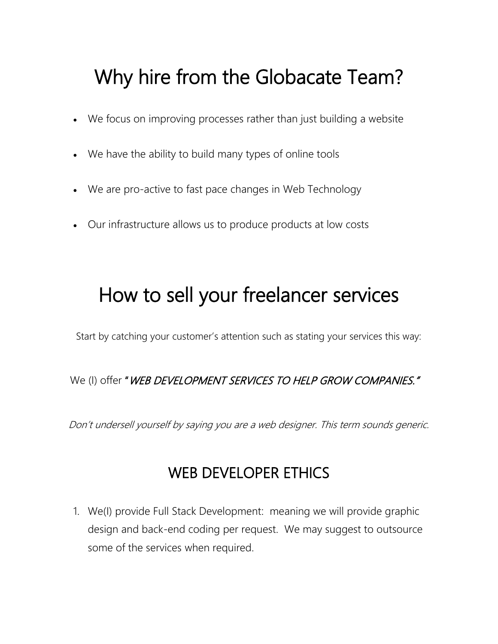# Why hire from the Globacate Team?

- We focus on improving processes rather than just building a website
- We have the ability to build many types of online tools
- We are pro-active to fast pace changes in Web Technology
- Our infrastructure allows us to produce products at low costs

# How to sell your freelancer services

Start by catching your customer's attention such as stating your services this way:

We (I) offer "WEB DEVELOPMENT SERVICES TO HELP GROW COMPANIES."

Don't undersell yourself by saying you are a web designer. This term sounds generic.

# WEB DEVELOPER ETHICS

1. We(I) provide Full Stack Development: meaning we will provide graphic design and back-end coding per request. We may suggest to outsource some of the services when required.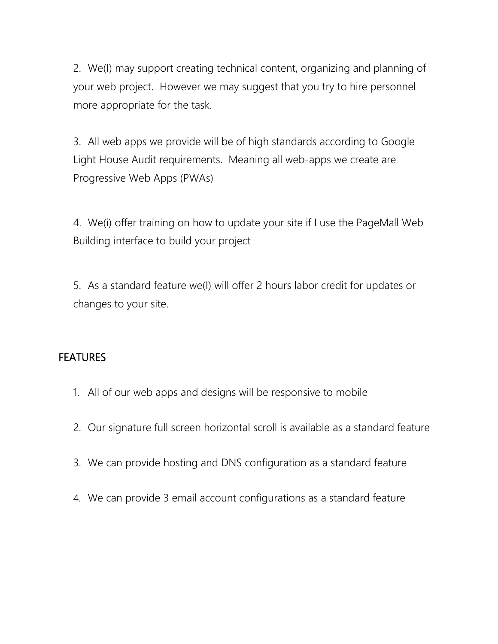2. We(I) may support creating technical content, organizing and planning of your web project. However we may suggest that you try to hire personnel more appropriate for the task.

3. All web apps we provide will be of high standards according to Google Light House Audit requirements. Meaning all web-apps we create are Progressive Web Apps (PWAs)

4. We(i) offer training on how to update your site if I use the PageMall Web Building interface to build your project

5. As a standard feature we(I) will offer 2 hours labor credit for updates or changes to your site.

#### FEATURES

- 1. All of our web apps and designs will be responsive to mobile
- 2. Our signature full screen horizontal scroll is available as a standard feature
- 3. We can provide hosting and DNS configuration as a standard feature
- 4. We can provide 3 email account configurations as a standard feature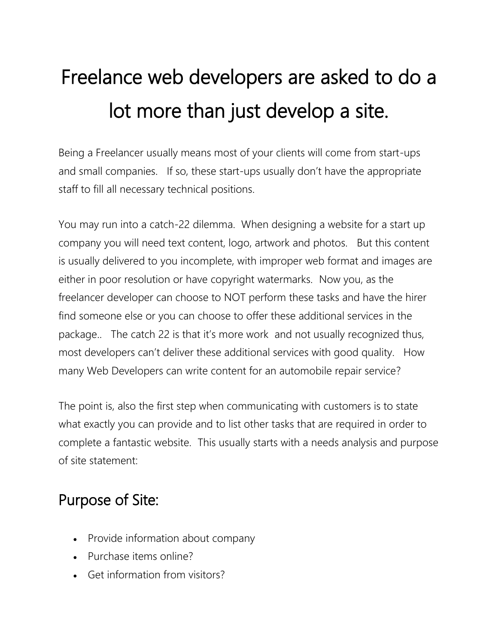# Freelance web developers are asked to do a lot more than just develop a site.

Being a Freelancer usually means most of your clients will come from start-ups and small companies. If so, these start-ups usually don't have the appropriate staff to fill all necessary technical positions.

You may run into a catch-22 dilemma. When designing a website for a start up company you will need text content, logo, artwork and photos. But this content is usually delivered to you incomplete, with improper web format and images are either in poor resolution or have copyright watermarks. Now you, as the freelancer developer can choose to NOT perform these tasks and have the hirer find someone else or you can choose to offer these additional services in the package.. The catch 22 is that it's more work and not usually recognized thus, most developers can't deliver these additional services with good quality. How many Web Developers can write content for an automobile repair service?

The point is, also the first step when communicating with customers is to state what exactly you can provide and to list other tasks that are required in order to complete a fantastic website. This usually starts with a needs analysis and purpose of site statement:

# Purpose of Site:

- Provide information about company
- Purchase items online?
- Get information from visitors?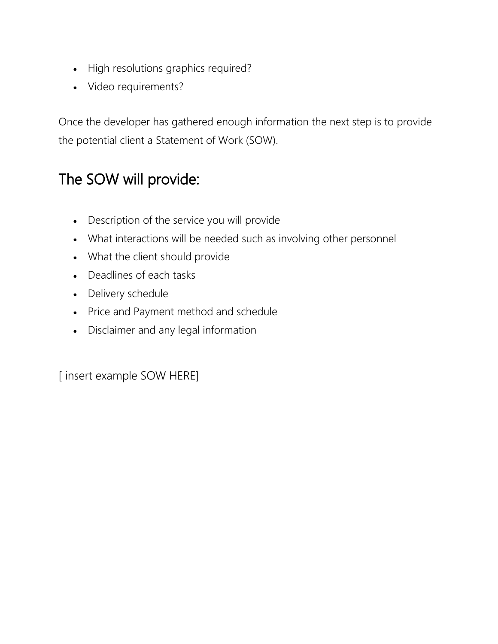- High resolutions graphics required?
- Video requirements?

Once the developer has gathered enough information the next step is to provide the potential client a Statement of Work (SOW).

# The SOW will provide:

- Description of the service you will provide
- What interactions will be needed such as involving other personnel
- What the client should provide
- Deadlines of each tasks
- Delivery schedule
- Price and Payment method and schedule
- Disclaimer and any legal information

[ insert example SOW HERE]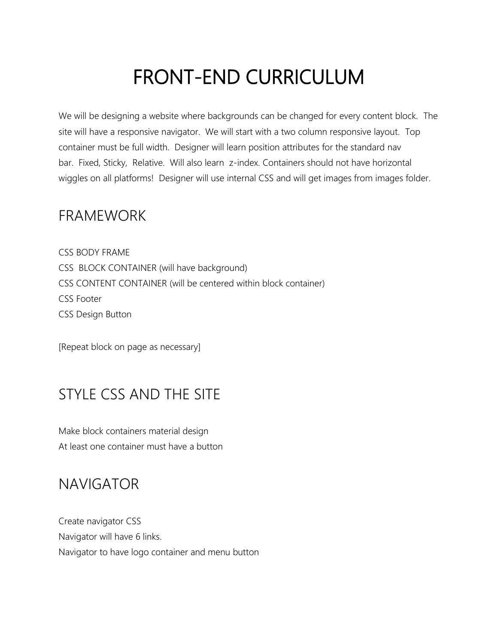# FRONT-END CURRICULUM

We will be designing a website where backgrounds can be changed for every content block. The site will have a responsive navigator. We will start with a two column responsive layout. Top container must be full width. Designer will learn position attributes for the standard nav bar. Fixed, Sticky, Relative. Will also learn z-index. Containers should not have horizontal wiggles on all platforms! Designer will use internal CSS and will get images from images folder.

#### FRAMEWORK

CSS BODY FRAME CSS BLOCK CONTAINER (will have background) CSS CONTENT CONTAINER (will be centered within block container) CSS Footer CSS Design Button

[Repeat block on page as necessary]

# STYLE CSS AND THE SITE

Make block containers material design At least one container must have a button

### NAVIGATOR

Create navigator CSS Navigator will have 6 links. Navigator to have logo container and menu button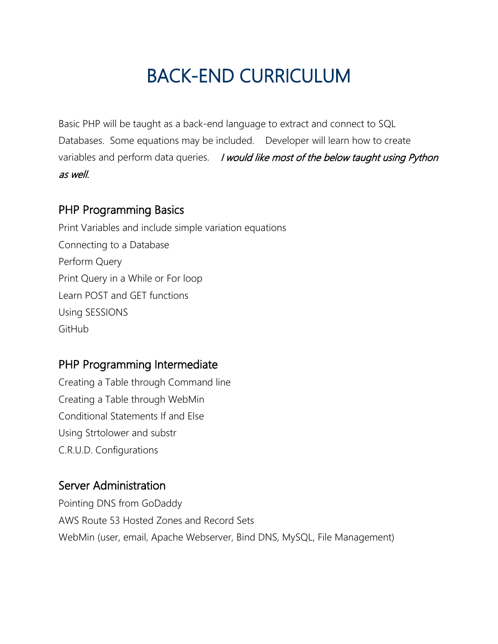# BACK-END CURRICULUM

Basic PHP will be taught as a back-end language to extract and connect to SQL Databases. Some equations may be included. Developer will learn how to create variables and perform data queries. *I would like most of the below taught using Python* as well.

#### PHP Programming Basics

Print Variables and include simple variation equations Connecting to a Database Perform Query Print Query in a While or For loop Learn POST and GET functions Using SESSIONS GitHub

#### PHP Programming Intermediate

Creating a Table through Command line Creating a Table through WebMin Conditional Statements If and Else Using Strtolower and substr C.R.U.D. Configurations

#### Server Administration

Pointing DNS from GoDaddy AWS Route 53 Hosted Zones and Record Sets WebMin (user, email, Apache Webserver, Bind DNS, MySQL, File Management)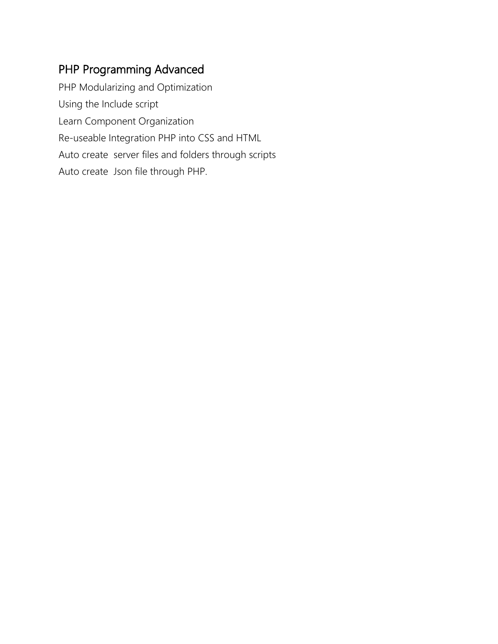#### PHP Programming Advanced

PHP Modularizing and Optimization Using the Include script Learn Component Organization Re-useable Integration PHP into CSS and HTML Auto create server files and folders through scripts Auto create Json file through PHP.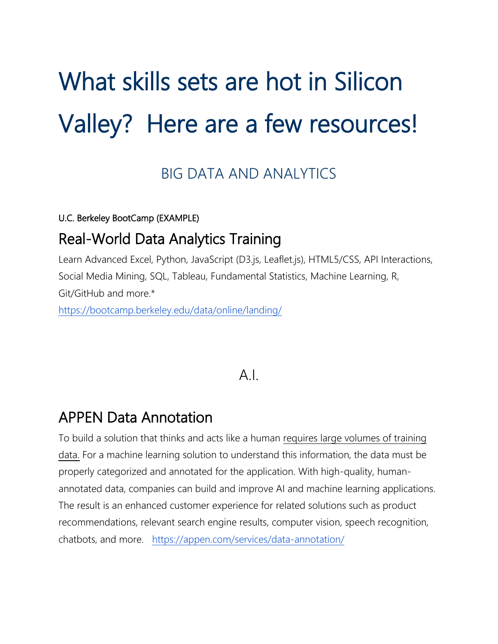# What skills sets are hot in Silicon Valley? Here are a few resources!

### BIG DATA AND ANALYTICS

U.C. Berkeley BootCamp (EXAMPLE)

### Real-World Data Analytics Training

Learn Advanced Excel, Python, JavaScript (D3.js, Leaflet.js), HTML5/CSS, API Interactions, Social Media Mining, SQL, Tableau, Fundamental Statistics, Machine Learning, R, Git/GitHub and more.\*

<https://bootcamp.berkeley.edu/data/online/landing/>

#### $\Delta$  |

### APPEN Data Annotation

To build a solution that thinks and acts like a human [requires large volumes of training](https://appen.com/blog/why-human-annotated-data-key/)  [data.](https://appen.com/blog/why-human-annotated-data-key/) For a machine learning solution to understand this information, the data must be properly categorized and annotated for the application. With high-quality, humanannotated data, companies can build and improve AI and machine learning applications. The result is an enhanced customer experience for related solutions such as product recommendations, relevant search engine results, computer vision, speech recognition, chatbots, and more. <https://appen.com/services/data-annotation/>